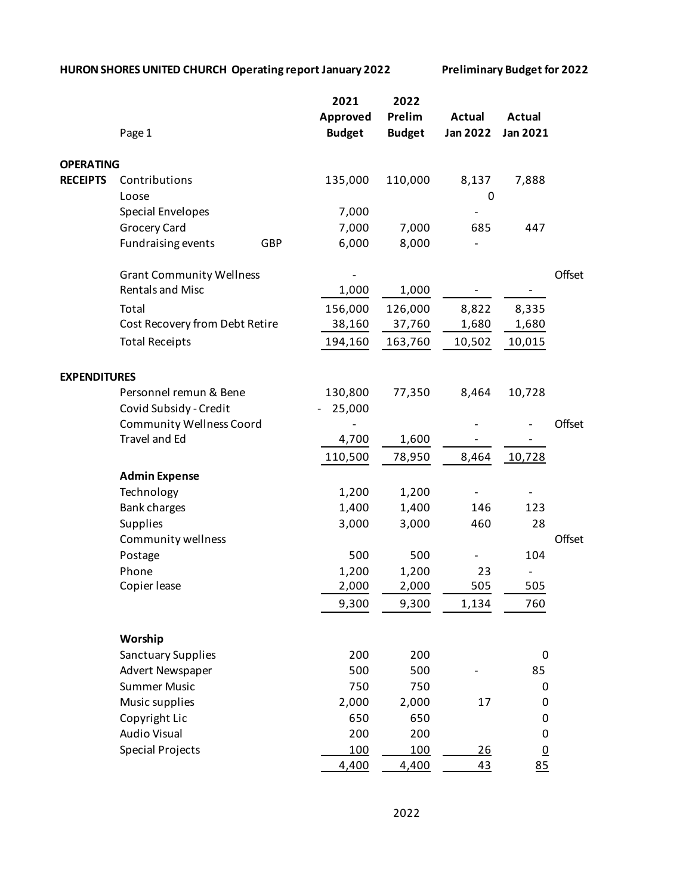## **HURON SHORES UNITED CHURCH Operating report January 2022 Preliminary Budget for 2022**

|                     |                                 | 2021          | 2022          |                 |                              |        |
|---------------------|---------------------------------|---------------|---------------|-----------------|------------------------------|--------|
|                     |                                 | Approved      | Prelim        | <b>Actual</b>   | <b>Actual</b>                |        |
|                     | Page 1                          | <b>Budget</b> | <b>Budget</b> | <b>Jan 2022</b> | Jan 2021                     |        |
| <b>OPERATING</b>    |                                 |               |               |                 |                              |        |
| <b>RECEIPTS</b>     | Contributions                   | 135,000       | 110,000       | 8,137           | 7,888                        |        |
|                     | Loose                           |               |               | 0               |                              |        |
|                     | <b>Special Envelopes</b>        | 7,000         |               |                 |                              |        |
|                     | <b>Grocery Card</b>             | 7,000         | 7,000         | 685             | 447                          |        |
|                     | Fundraising events<br>GBP       | 6,000         | 8,000         |                 |                              |        |
|                     | <b>Grant Community Wellness</b> |               |               |                 |                              | Offset |
|                     | <b>Rentals and Misc</b>         | 1,000         | 1,000         |                 |                              |        |
|                     | Total                           | 156,000       | 126,000       | 8,822           | 8,335                        |        |
|                     | Cost Recovery from Debt Retire  | 38,160        | 37,760        | 1,680           | 1,680                        |        |
|                     | <b>Total Receipts</b>           | 194,160       | 163,760       | 10,502          | 10,015                       |        |
| <b>EXPENDITURES</b> |                                 |               |               |                 |                              |        |
|                     | Personnel remun & Bene          | 130,800       | 77,350        | 8,464           | 10,728                       |        |
|                     | Covid Subsidy - Credit          | 25,000        |               |                 |                              |        |
|                     | <b>Community Wellness Coord</b> |               |               |                 |                              | Offset |
|                     | Travel and Ed                   | 4,700         | 1,600         |                 |                              |        |
|                     |                                 | 110,500       | 78,950        | 8,464           | 10,728                       |        |
|                     | <b>Admin Expense</b>            |               |               |                 |                              |        |
|                     | Technology                      | 1,200         | 1,200         |                 | $\overline{\phantom{a}}$     |        |
|                     | <b>Bank charges</b>             | 1,400         | 1,400         | 146             | 123                          |        |
|                     | Supplies                        | 3,000         | 3,000         | 460             | 28                           |        |
|                     | Community wellness              |               |               |                 |                              | Offset |
|                     | Postage                         | 500           | 500           |                 | 104                          |        |
|                     | Phone                           | 1,200         | 1,200         | 23              | $\qquad \qquad \blacksquare$ |        |
|                     | Copier lease                    | 2,000         | 2,000         | 505             | 505                          |        |
|                     |                                 | 9,300         | 9,300         | 1,134           | 760                          |        |
|                     | Worship                         |               |               |                 |                              |        |
|                     | Sanctuary Supplies              | 200           | 200           |                 | 0                            |        |
|                     | Advert Newspaper                | 500           | 500           |                 | 85                           |        |
|                     | <b>Summer Music</b>             | 750           | 750           |                 | 0                            |        |
|                     | Music supplies                  | 2,000         | 2,000         | 17              | 0                            |        |
|                     | Copyright Lic                   | 650           | 650           |                 | 0                            |        |
|                     | <b>Audio Visual</b>             | 200           | 200           |                 | 0                            |        |
|                     | <b>Special Projects</b>         | 100           | <u>100</u>    | <u>26</u>       | $\underline{0}$              |        |
|                     |                                 | 4,400         | 4,400         | 43              | 85                           |        |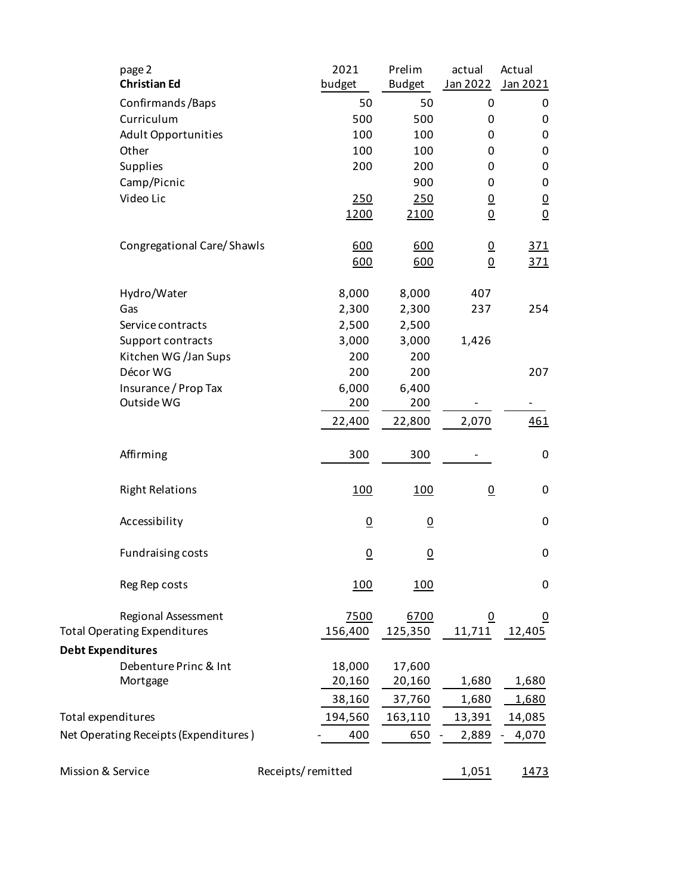|                                       | page 2                              |                   | 2021            | Prelim          | actual         | Actual          |
|---------------------------------------|-------------------------------------|-------------------|-----------------|-----------------|----------------|-----------------|
|                                       | <b>Christian Ed</b>                 |                   | budget          | <b>Budget</b>   | Jan 2022       | Jan 2021        |
|                                       | Confirmands/Baps                    |                   | 50              | 50              | 0              | 0               |
|                                       | Curriculum                          |                   | 500             | 500             | 0              | 0               |
|                                       | <b>Adult Opportunities</b>          |                   | 100             | 100             | 0              | 0               |
|                                       | Other                               |                   | 100             | 100             | 0              | $\pmb{0}$       |
|                                       | Supplies                            |                   | 200             | 200             | 0              | $\pmb{0}$       |
|                                       | Camp/Picnic                         |                   |                 | 900             | 0              | $\pmb{0}$       |
|                                       | Video Lic                           |                   | 250             | 250             | $\overline{0}$ | $\overline{0}$  |
|                                       |                                     |                   | 1200            | 2100            | $\overline{0}$ | $\underline{0}$ |
|                                       | Congregational Care/Shawls          |                   | 600             | 600             | $\overline{0}$ | 371             |
|                                       |                                     |                   | 600             | 600             | $\Omega$       | 371             |
|                                       | Hydro/Water                         |                   | 8,000           | 8,000           | 407            |                 |
|                                       | Gas                                 |                   | 2,300           | 2,300           | 237            | 254             |
|                                       | Service contracts                   |                   | 2,500           | 2,500           |                |                 |
|                                       | Support contracts                   |                   | 3,000           | 3,000           | 1,426          |                 |
|                                       | Kitchen WG /Jan Sups                |                   | 200             | 200             |                |                 |
|                                       | Décor WG                            |                   | 200             | 200             |                | 207             |
|                                       | Insurance / Prop Tax                |                   | 6,000           | 6,400           |                |                 |
|                                       | Outside WG                          |                   | 200             | 200             |                |                 |
|                                       |                                     |                   | 22,400          | 22,800          | 2,070          | 461             |
|                                       | Affirming                           |                   | 300             | 300             |                | $\pmb{0}$       |
|                                       | <b>Right Relations</b>              |                   | 100             | 100             | $\overline{0}$ | 0               |
|                                       | Accessibility                       |                   | $\underline{0}$ | $\underline{0}$ |                | 0               |
|                                       | <b>Fundraising costs</b>            |                   | <u>0</u>        | $\overline{0}$  |                | 0               |
|                                       | Reg Rep costs                       |                   | 100             | <u>100</u>      |                | 0               |
|                                       | Regional Assessment                 |                   | 7500            | 6700            | $\overline{0}$ | <u>0</u>        |
|                                       | <b>Total Operating Expenditures</b> |                   | 156,400         | 125,350         | 11,711         | 12,405          |
| <b>Debt Expenditures</b>              |                                     |                   |                 |                 |                |                 |
|                                       | Debenture Princ & Int               |                   | 18,000          | 17,600          |                |                 |
|                                       | Mortgage                            |                   | 20,160          | 20,160          | 1,680          | 1,680           |
|                                       |                                     |                   | 38,160          | 37,760          | 1,680          | 1,680           |
| Total expenditures                    |                                     |                   | 194,560         | 163,110         | 13,391         | 14,085          |
| Net Operating Receipts (Expenditures) |                                     |                   | 400             | 650             | 2,889          | 4,070           |
|                                       |                                     | Receipts/remitted |                 |                 | 1,051          | 1473            |
| Mission & Service                     |                                     |                   |                 |                 |                |                 |